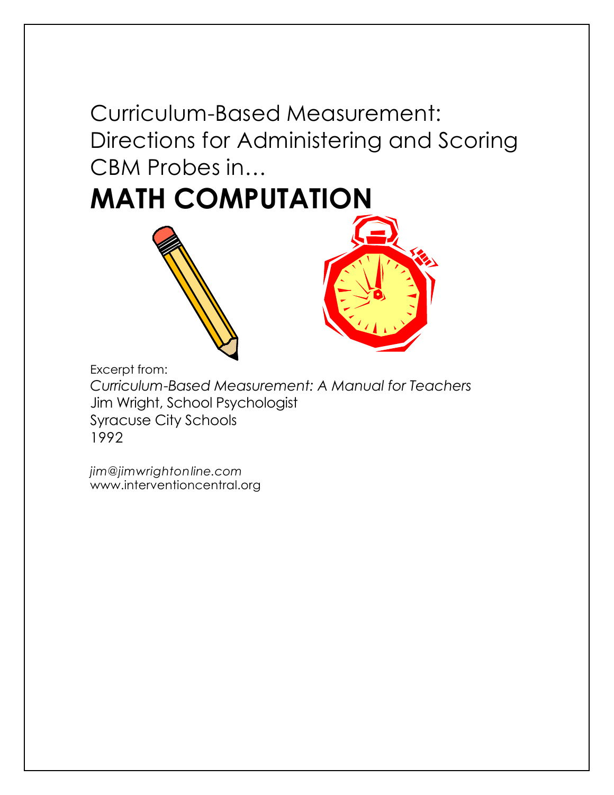## Curriculum-Based Measurement: Directions for Administering and Scoring CBM Probes in…

**MATH COMPUTATION**





Excerpt from:

*Curriculum-Based Measurement: A Manual for Teachers* Jim Wright, School Psychologist Syracuse City Schools 1992

*jim@jimwrightonline.com* www.interventioncentral.org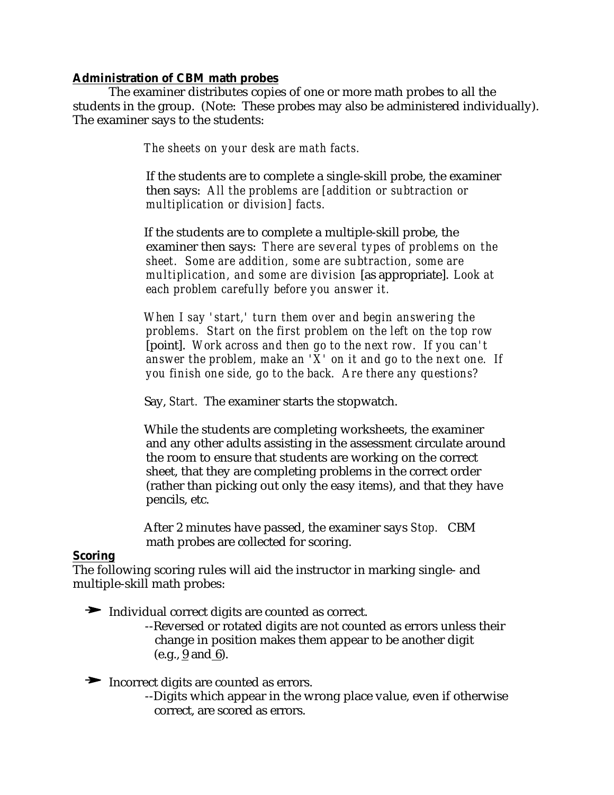## **Administration of CBM math probes**

The examiner distributes copies of one or more math probes to all the students in the group. (Note: These probes may also be administered individually). The examiner says to the students:

*The sheets on your desk are math facts.* 

If the students are to complete a single-skill probe, the examiner then says: *All the problems are [addition or subtraction or multiplication or division] facts.*

If the students are to complete a multiple-skill probe, the examiner then says: *There are several types of problems on the sheet. Some are addition, some are subtraction, some are multiplication, and some are division* [as appropriate]. *Look at each problem carefully before you answer it.* 

*When I say 'start,' turn them over and begin answering the problems. Start on the first problem on the left on the top row* [point]. *Work across and then go to the next row. If you can't answer the problem, make an 'X' on it and go to the next one. If you finish one side, go to the back. Are there any questions?* 

Say, *Start.* The examiner starts the stopwatch.

While the students are completing worksheets, the examiner and any other adults assisting in the assessment circulate around the room to ensure that students are working on the correct sheet, that they are completing problems in the correct order (rather than picking out only the easy items), and that they have pencils, etc.

After 2 minutes have passed, the examiner says *Stop.* CBM math probes are collected for scoring.

## **Scoring**

The following scoring rules will aid the instructor in marking single- and multiple-skill math probes:

Individual correct digits are counted as correct.

--Reversed or rotated digits are not counted as errors unless their change in position makes them appear to be another digit  $(e.g., 9 and 6).$ 

Incorrect digits are counted as errors.

--Digits which appear in the wrong place value, even if otherwise correct, are scored as errors.